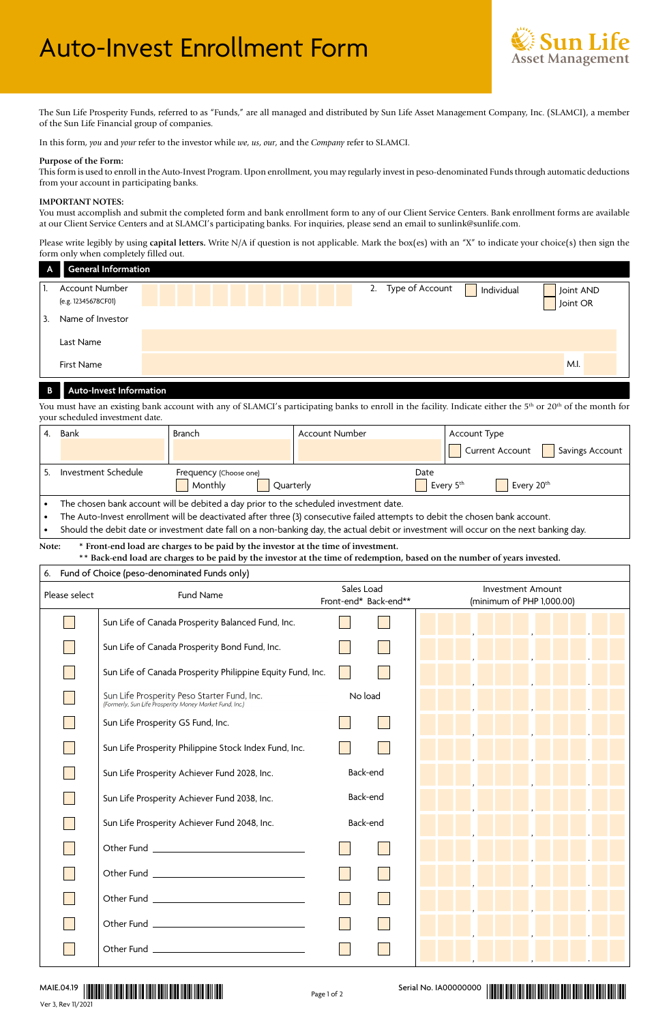

The Sun Life Prosperity Funds, referred to as "Funds," are all managed and distributed by Sun Life Asset Management Company, Inc. (SLAMCI), a member of the Sun Life Financial group of companies.

In this form, *you* and *your* refer to the investor while *we*, *us*, *our*, and the *Company* refer to SLAMCI.

#### **Purpose of the Form:**

This form is used to enroll in the Auto-Invest Program. Upon enrollment, you may regularly invest in peso-denominated Funds through automatic deductions from your account in participating banks.

#### **IMPORTANT NOTES:**

You must accomplish and submit the completed form and bank enrollment form to any of our Client Service Centers. Bank enrollment forms are available at our Client Service Centers and at SLAMCI's participating banks. For inquiries, please send an email to sunlink@sunlife.com.

Please write legibly by using **capital letters.** Write N/A if question is not applicable. Mark the box(es) with an "X" to indicate your choice(s) then sign the form only when completely filled out.

| $\overline{A}$ | <b>General Information</b>                   |                                  |                       |
|----------------|----------------------------------------------|----------------------------------|-----------------------|
|                | <b>Account Number</b><br>(e.g. 12345678CF01) | 2. Type of Account<br>Individual | Joint AND<br>Joint OR |
| 3.             | Name of Investor                             |                                  |                       |
|                | Last Name                                    |                                  |                       |
|                | <b>First Name</b>                            |                                  | M.I.                  |

#### **B Auto-Invest Information**

You must have an existing bank account with any of SLAMCI's participating banks to enroll in the facility. Indicate either the 5<sup>th</sup> or 20<sup>th</sup> of the month for your scheduled investment date.

| Bank                | Branch                 | Account Number | Account Type                                                                          |
|---------------------|------------------------|----------------|---------------------------------------------------------------------------------------|
|                     |                        |                | Current Account<br>Savings Account                                                    |
| Investment Schedule | Frequency (Choose one) | Date           |                                                                                       |
|                     | Monthly<br>Ouarterly   |                | Every 5 <sup>th</sup><br>Every 20 <sup>th</sup>                                       |
|                     |                        |                |                                                                                       |
|                     |                        |                | The chosen bank account will be debited a day prior to the scheduled investment date. |

• The Auto-Invest enrollment will be deactivated after three (3) consecutive failed attempts to debit the chosen bank account.

• Should the debit date or investment date fall on a non-banking day, the actual debit or investment will occur on the next banking day.

**Note: \* Front-end load are charges to be paid by the investor at the time of investment.**

**\*\* Back-end load are charges to be paid by the investor at the time of redemption, based on the number of years invested.**

| Fund of Choice (peso-denominated Funds only)<br>6. |                                                                                                        |                                     |                                                       |  |  |  |
|----------------------------------------------------|--------------------------------------------------------------------------------------------------------|-------------------------------------|-------------------------------------------------------|--|--|--|
| Please select                                      | Fund Name                                                                                              | Sales Load<br>Front-end* Back-end** | <b>Investment Amount</b><br>(minimum of PHP 1,000.00) |  |  |  |
|                                                    | Sun Life of Canada Prosperity Balanced Fund, Inc.                                                      |                                     | <u> De la Barca</u>                                   |  |  |  |
|                                                    | Sun Life of Canada Prosperity Bond Fund, Inc.                                                          |                                     |                                                       |  |  |  |
|                                                    | Sun Life of Canada Prosperity Philippine Equity Fund, Inc.                                             |                                     |                                                       |  |  |  |
|                                                    | Sun Life Prosperity Peso Starter Fund, Inc.<br>(Formerly, Sun Life Prosperity Money Market Fund, Inc.) | No load                             |                                                       |  |  |  |
|                                                    | Sun Life Prosperity GS Fund, Inc.                                                                      |                                     |                                                       |  |  |  |
|                                                    | Sun Life Prosperity Philippine Stock Index Fund, Inc.                                                  |                                     |                                                       |  |  |  |
|                                                    | Sun Life Prosperity Achiever Fund 2028, Inc.                                                           | Back-end                            |                                                       |  |  |  |
|                                                    | Sun Life Prosperity Achiever Fund 2038, Inc.                                                           | Back-end                            |                                                       |  |  |  |
|                                                    | Sun Life Prosperity Achiever Fund 2048, Inc.                                                           | Back-end                            |                                                       |  |  |  |
|                                                    | Other Fund <u>_________________________________</u>                                                    |                                     |                                                       |  |  |  |
|                                                    |                                                                                                        |                                     |                                                       |  |  |  |
|                                                    | Other Fund <u>_________________________________</u>                                                    |                                     |                                                       |  |  |  |
|                                                    |                                                                                                        |                                     |                                                       |  |  |  |
|                                                    |                                                                                                        |                                     |                                                       |  |  |  |